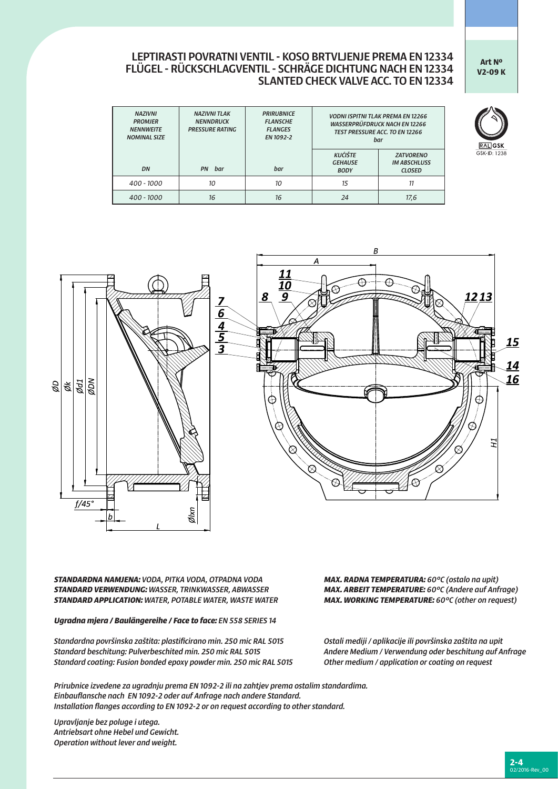## **Art Nº V2-09 K**

GSK-ID: 1238

## LEPTIRASTI POVRATNI VENTIL - KOSO BRTVLJENJE PREMA EN 12334 FLÜGEL - RÜCKSCHLAGVENTIL - SCHRÄGE DICHTUNG NACH EN 12334 SLANTED CHECK VALVE ACC. TO EN 12334

| <b>NAZIVNI</b><br><b>PROMJER</b><br><b>NFNNWFITF</b><br><b>NOMINAL SIZE</b> | <b>NAZIVNI TLAK</b><br><b>NENNDRUCK</b><br><b>PRESSURE RATING</b> | <b>PRIRURNICE</b><br><b>FLANSCHE</b><br><b>FLANGES</b><br>EN 1092-2 | <b>VODNI ISPITNI TLAK PREMA EN 12266</b><br><b>WASSERPRÜFDRUCK NACH EN 12266</b><br><b>TEST PRESSURE ACC. TO EN 12266</b><br>bar |                                                          |  |
|-----------------------------------------------------------------------------|-------------------------------------------------------------------|---------------------------------------------------------------------|----------------------------------------------------------------------------------------------------------------------------------|----------------------------------------------------------|--|
| DN                                                                          | <b>PN</b><br>bar                                                  | bar                                                                 | <b>KUĆIŠTE</b><br><b>GEHAUSE</b><br><b>BODY</b>                                                                                  | <b>ZATVORENO</b><br><b>IM ABSCHLUSS</b><br><b>CLOSED</b> |  |
| $400 - 1000$                                                                | 10                                                                | 10                                                                  | 15                                                                                                                               | 11                                                       |  |
| 400 - 1000                                                                  | 16                                                                | 16                                                                  | 24                                                                                                                               | 17,6                                                     |  |



*STANDARDNA NAMJENA: VODA, PITKA VODA, OTPADNA VODA MAX. RADNA TEMPERATURA: 60°C (ostalo na upit) STANDARD VERWENDUNG: WASSER, TRINKWASSER, ABWASSER MAX. ARBEIT TEMPERATURE: 60°C (Andere auf Anfrage)*  **STANDARD APPLICATION:** WATER, POTABLE WATER, WASTE WATER

*Ugradna mjera / Baulängereihe / Face to face: EN 558 SERIES 14*

*Standardna površinska zaštita: plastificirano min. 250 mic RAL 5015 Ostali mediji / aplikacije ili površinska zaštita na upit Standard beschitung: Pulverbeschited min. 250 mic RAL 5015 Andere Medium / Verwendung oder beschitung auf Anfrage Standard coating: Fusion bonded epoxy powder min. 250 mic RAL 5015 Other medium / application or coating on request*

*Prirubnice izvedene za ugradnju prema EN 1092-2 ili na zahtjev prema ostalim standardima. Einbauflansche nach EN 1092-2 oder auf Anfrage nach andere Standard. Installation flanges according to EN 1092-2 or on request according to other standard.* 

*Upravljanje bez poluge i utega. Antriebsart ohne Hebel und Gewicht. Operation without lever and weight.*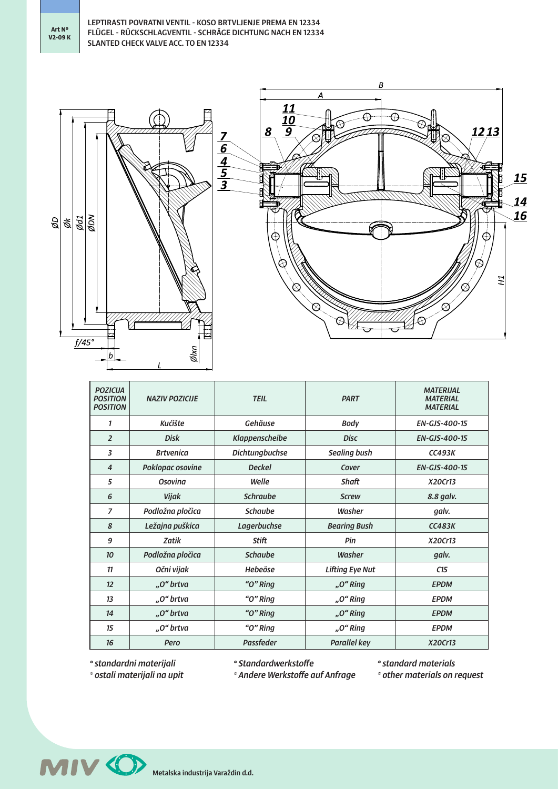

| <b>POZICIJA</b><br><b>POSITION</b><br><b>POSITION</b> | <b>NAZIV POZICIJE</b>              | <b>TEIL</b>           | <b>PART</b>            | <b>MATERIJAL</b><br><b>MATERIAL</b><br><b>MATERIAL</b> |  |  |
|-------------------------------------------------------|------------------------------------|-----------------------|------------------------|--------------------------------------------------------|--|--|
| 1                                                     | <b>Kućište</b>                     | Gehäuse               | <b>Body</b>            | <b>EN-GJS-400-15</b>                                   |  |  |
| $\overline{2}$                                        | <b>Disk</b>                        | Klappenscheibe        | <b>Disc</b>            | <b>EN-GJS-400-15</b>                                   |  |  |
| 3                                                     | <b>Brtvenica</b>                   | <b>Dichtungbuchse</b> | <b>Sealing bush</b>    | <b>CC493K</b>                                          |  |  |
| $\overline{4}$                                        | Poklopac osovine                   | <b>Deckel</b>         | Cover                  | <b>EN-GJS-400-15</b>                                   |  |  |
| 5                                                     | Osovina                            | Welle                 | Shaft                  | X20Cr13                                                |  |  |
| 6                                                     | <b>Schraube</b><br>Vijak           |                       | <b>Screw</b>           | 8.8 galv.                                              |  |  |
| $\overline{z}$                                        | Podložna pločica<br><b>Schaube</b> |                       | Washer                 | galv.                                                  |  |  |
| 8                                                     | Ležajna puškica<br>Lagerbuchse     |                       | <b>Bearing Bush</b>    | CC483K                                                 |  |  |
| 9                                                     | Zatik                              | Stift                 | Pin                    | X20Cr13                                                |  |  |
| 10                                                    | Podložna pločica                   | <b>Schaube</b>        | Washer                 | galv.                                                  |  |  |
| 11                                                    | Očni vijak                         | Hebeöse               | <b>Lifting Eye Nut</b> | C15                                                    |  |  |
| 12                                                    | "O" brtva                          | "O" Ring              | "O" Ring               | <b>EPDM</b>                                            |  |  |
| 13                                                    | "O" Ring<br>"O" brtva              |                       | "O" Ring               | <b>EPDM</b>                                            |  |  |
| 14                                                    | "O" brtva                          | "O" Ring              | "O" Ring               | <b>EPDM</b>                                            |  |  |
| 15                                                    | "O" brtva                          | "O" Ring              | "O" Ring               | <b>EPDM</b>                                            |  |  |
| 16                                                    | <b>Passfeder</b><br>Pero           |                       | <b>Parallel key</b>    | X20Cr13                                                |  |  |

*\* standardni materijali \* ostali materijali na upit* *\* Standardwerkstoffe*

*\* Andere Werkstoffe auf Anfrage*

*\* standard materials \* other materials on request*